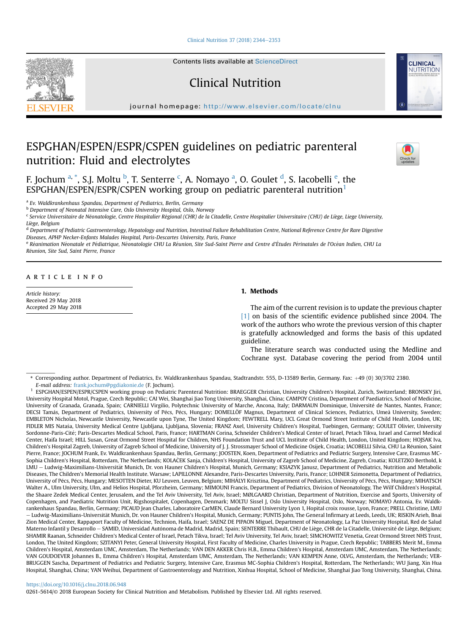[Clinical Nutrition 37 \(2018\) 2344](https://doi.org/10.1016/j.clnu.2018.06.948)-[2353](https://doi.org/10.1016/j.clnu.2018.06.948)

Contents lists available at ScienceDirect

Clinical Nutrition

journal homepage: <http://www.elsevier.com/locate/clnu>

# ESPGHAN/ESPEN/ESPR/CSPEN guidelines on pediatric parenteral nutrition: Fluid and electrolytes

F. Jochum <sup>a, \*</sup>, S.J. Moltu <sup>b</sup>, T. Senterre <sup>c</sup>, A. Nomayo <sup>a</sup>, O. Goulet <sup>d</sup>, S. Iacobelli <sup>e</sup>, the ESPGHAN/ESPEN/ESPR/CSPEN working group on pediatric parenteral nutrition<sup>1</sup>

<sup>a</sup> Ev. Waldkrankenhaus Spandau, Department of Pediatrics, Berlin, Germany

**b Department of Neonatal Intensive Care, Oslo University Hospital, Oslo, Norway** 

<sup>c</sup> Service Universitaire de Néonatologie, Centre Hospitalier Régional (CHR) de la Citadelle, Centre Hospitalier Universitaire (CHU) de Liège, Liege University, Liege, Belgium

<sup>d</sup> Department of Pediatric Gastroenterology, Hepatology and Nutrition, Intestinal Failure Rehabilitation Centre, National Reference Centre for Rare Digestive Diseases, APHP Necker-Enfants Malades Hospital, Paris-Descartes University, Paris, France

<sup>e</sup> Réanimation Néonatale et Pédiatrique, Néonatologie CHU La Réunion, Site Sud-Saint Pierre and Centre d'Études Périnatales de l'Océan Indien, CHU La Reunion, Site Sud, Saint Pierre, France

## article info

Article history: Received 29 May 2018 Accepted 29 May 2018

# 1. Methods

The aim of the current revision is to update the previous chapter [\[1\]](#page-7-0) on basis of the scientific evidence published since 2004. The work of the authors who wrote the previous version of this chapter is gratefully acknowledged and forms the basis of this updated guideline.

The literature search was conducted using the Medline and Cochrane syst. Database covering the period from 2004 until

\* Corresponding author. Department of Pediatrics, Ev. Waldkrankenhaus Spandau, Stadtrandstr. 555, D-13589 Berlin, Germany. Fax: þ49 (0) 30/3702 2380. E-mail address: [frank.jochum@pgdiakonie.de](mailto:frank.jochum@pgdiakonie.de) (F. Jochum).

## <https://doi.org/10.1016/j.clnu.2018.06.948>

0261-5614/© 2018 European Society for Clinical Nutrition and Metabolism. Published by Elsevier Ltd. All rights reserved.







<sup>&</sup>lt;sup>1</sup> ESPGHAN/ESPEN/ESPR/CSPEN working group on Pediatric Parenteral Nutrition: BRAEGGER Christian, University Children's Hospital, Zurich, Switzerland; BRONSKY Jiri, University Hospital Motol, Prague, Czech Republic; CAI Wei, Shanghai Jiao Tong University, Shanghai, China; CAMPOY Cristina, Department of Paediatrics, School of Medicine, University of Granada, Granada, Spain; CARNIELLI Virgilio, Polytechnic University of Marche, Ancona, Italy; DARMAUN Dominique, Universite de Nantes, Nantes, France; DECSI Tamás, Department of Pediatrics, University of Pécs, Pécs, Hungary; DOMELLÖF Magnus, Department of Clinical Sciences, Pediatrics, Umeå University, Sweden; EMBLETON Nicholas, Newcastle University, Newcastle upon Tyne, The United Kingdom; FEWTRELL Mary, UCL Great Ormond Street Institute of Child Health, London, UK; FIDLER MIS Natasa, University Medical Centre Ljubljana, Ljubljana, Slovenia; FRANZ Axel, University Children's Hospital, Tuebingen, Germany; GOULET Olivier, University Sordonne-Paris-Cité; Paris-Descartes Medical School, Paris, France; HARTMAN Corina, Schneider Children's Medical Center of Israel, Petach Tikva, Israel and Carmel Medical Center, Haifa Israel; HILL Susan, Great Ormond Street Hospital for Children, NHS Foundation Trust and UCL Institute of Child Health, London, United Kingdom; HOJSAK Iva, Children's Hospital Zagreb, University of Zagreb School of Medicine, University of J. J. Strossmayer School of Medicine Osijek, Croatia; IACOBELLI Silvia, CHU La Reunion, Saint Pierre, France; JOCHUM Frank, Ev. Waldkrankenhaus Spandau, Berlin, Germany; JOOSTEN, Koen, Department of Pediatrics and Pediatric Surgery, Intensive Care, Erasmus MC-Sophia Children's Hospital, Rotterdam, The Netherlands; KOLAČEK Sanja, Children's Hospital, University of Zagreb School of Medicine, Zagreb, Croatia; KOLETZKO Berthold, k LMU - Ludwig-Maximilians-Universität Munich, Dr. von Hauner Children's Hospital, Munich, Germany; KSIAZYK Janusz, Department of Pediatrics, Nutrition and Metabolic Diseases, The Children's Memorial Health Institute. Warsaw; LAPILLONNE Alexandre, Paris-Descartes University, Paris, France; LOHNER Szimonetta, Department of Pediatrics, University of Pécs, Pécs, Hungary; MESOTTEN Dieter, KU Leuven, Leuven, Belgium; MIHÁLYI Krisztina, Department of Pediatrics, University of Pécs, Pécs, Hungary; MIHATSCH Walter A., Ulm University, Ulm, and Helios Hospital, Pforzheim, Germany; MIMOUNI Francis, Department of Pediatrics, Division of Neonatology, The Wilf Children's Hospital, the Shaare Zedek Medical Center, Jerusalem, and the Tel Aviv University, Tel Aviv, Israel; MØLGAARD Christian, Department of Nutrition, Exercise and Sports, University of Copenhagen, and Paediatric Nutrition Unit, Rigshospitalet, Copenhagen, Denmark; MOLTU Sissel J, Oslo University Hospital, Oslo, Norway; NOMAYO Antonia, Ev. Waldkrankenhaus Spandau, Berlin, Germany; PICAUD Jean Charles, Laboratoire CarMEN, Claude Bernard University Lyon 1, Hopital croix rousse, Lyon, France; PRELL Christine, LMU – Ludwig-Maximilians-Universität Munich, Dr. von Hauner Children's Hospital, Munich, Germany; PUNTIS John, The General Infirmary at Leeds, Leeds, UK; RISKIN Arieh, Bnai Zion Medical Center, Rappaport Faculty of Medicine, Technion, Haifa, Israel; SAENZ DE PIPAON Miguel, Department of Neonatology, La Paz University Hospital, Red de Salud Materno Infantil y Desarrollo - SAMID, Universidad Autónoma de Madrid, Madrid, Spain; SENTERRE Thibault, CHU de Liège, CHR de la Citadelle, Université de Liège, Belgium; SHAMIR Raanan, Schneider Children's Medical Center of Israel, Petach Tikva, Israel; Tel Aviv University, Tel Aviv, Israel; SIMCHOWITZ Venetia, Great Ormond Street NHS Trust, London, The United Kingdom; SZITANYI Peter, General University Hospital, First Faculty of Medicine, Charles University in Prague, Czech Republic; TABBERS Merit M., Emma Children's Hospital, Amsterdam UMC, Amsterdam, The Netherlands; VAN DEN AKKER Chris H.B., Emma Children's Hospital, Amsterdam UMC, Amsterdam, The Netherlands; VAN GOUDOEVER Johannes B., Emma Children's Hospital, Amsterdam UMC, Amsterdam, The Netherlands; VAN KEMPEN Anne, OLVG, Amsterdam, the Netherlands; VER-BRUGGEN Sascha, Department of Pediatrics and Pediatric Surgery, Intensive Care, Erasmus MC-Sophia Children's Hospital, Rotterdam, The Netherlands; WU Jiang, Xin Hua Hospital, Shanghai, China; YAN Weihui, Department of Gastroenterology and Nutrition, Xinhua Hospital, School of Medicine, Shanghai Jiao Tong University, Shanghai, China.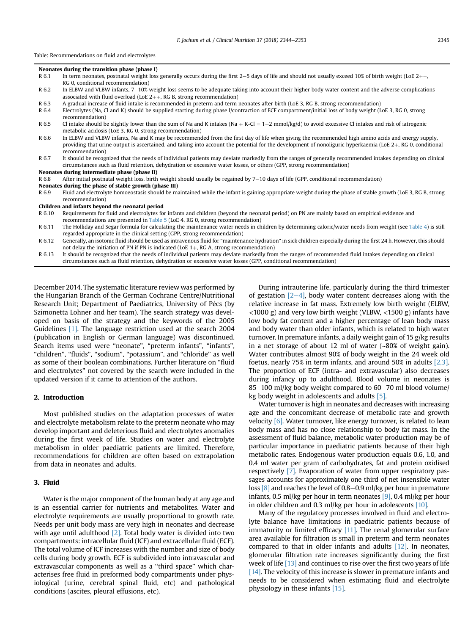Table: Recommendations on fluid and electrolytes

|        | Neonates during the transition phase (phase I)                                                                                                                                                                                                                                                                                        |
|--------|---------------------------------------------------------------------------------------------------------------------------------------------------------------------------------------------------------------------------------------------------------------------------------------------------------------------------------------|
| R 6.1  | In term neonates, postnatal weight loss generally occurs during the first 2–5 days of life and should not usually exceed 10% of birth weight (LoE 2++,                                                                                                                                                                                |
|        | RG 0, conditional recommendation)                                                                                                                                                                                                                                                                                                     |
| R 6.2  | In ELBW and VLBW infants, $7-10\%$ weight loss seems to be adequate taking into account their higher body water content and the adverse complications                                                                                                                                                                                 |
|        | associated with fluid overload (LoE $2++$ , RG B, strong recommendation)                                                                                                                                                                                                                                                              |
| R 6.3  | A gradual increase of fluid intake is recommended in preterm and term neonates after birth (LoE 3, RG B, strong recommendation)                                                                                                                                                                                                       |
| R 6.4  | Electrolytes (Na, Cl and K) should be supplied starting during phase I/contraction of ECF compartment/initial loss of body weight (LoE 3, RG 0, strong<br>recommendation)                                                                                                                                                             |
| R 6.5  | Cl intake should be slightly lower than the sum of Na and K intakes (Na + K-Cl = $1-2$ mmol/kg/d) to avoid excessive Cl intakes and risk of iatrogenic<br>metabolic acidosis (LoE 3, RG 0, strong recommendation)                                                                                                                     |
| R 6.6  | In ELBW and VLBW infants, Na and K may be recommended from the first day of life when giving the recommended high amino acids and energy supply,<br>providing that urine output is ascertained, and taking into account the potential for the development of nonoliguric hyperkaemia (LoE $2+$ , RG 0, conditional<br>recommendation) |
| R 6.7  | It should be recognized that the needs of individual patients may deviate markedly from the ranges of generally recommended intakes depending on clinical<br>circumstances such as fluid retention, dehydration or excessive water losses, or others (GPP, strong recommendation)                                                     |
|        | Neonates during intermediate phase (phase II)                                                                                                                                                                                                                                                                                         |
| R 6.8  | After initial postnatal weight loss, birth weight should usually be regained by $7-10$ days of life (GPP, conditional recommendation)                                                                                                                                                                                                 |
|        | Neonates during the phase of stable growth (phase III)                                                                                                                                                                                                                                                                                |
| R 6.9  | Fluid and electrolyte homoeostasis should be maintained while the infant is gaining appropriate weight during the phase of stable growth (LoE 3, RG B, strong<br>recommendation)                                                                                                                                                      |
|        | Children and infants beyond the neonatal period                                                                                                                                                                                                                                                                                       |
| R 6.10 | Requirements for fluid and electrolytes for infants and children (beyond the neonatal period) on PN are mainly based on empirical evidence and                                                                                                                                                                                        |
|        | recommendations are presented in Table 5 (LoE 4, RG 0, strong recommendation)                                                                                                                                                                                                                                                         |
| R 6.11 | The Holliday and Segar formula for calculating the maintenance water needs in children by determining caloric/water needs from weight (see Table 4) is stil<br>regarded appropriate in the clinical setting (GPP, strong recommendation)                                                                                              |
|        | R 6.12 Ceperally an isotopic fluid should be used as intravenous fluid for "maintenance bydration" in sick children especially during the first 24 h. However, this should                                                                                                                                                            |

R 6.12 Generally, an isotonic fluid should be used as intravenous fluid for "maintenance hydration" in sick children especially during the first 24 h. However, this should not delay the initiation of PN if PN is indicated (LoE  $1+$ , RG A, strong recommendation)

R 6.13 It should be recognized that the needs of individual patients may deviate markedly from the ranges of recommended fluid intakes depending on clinical circumstances such as fluid retention, dehydration or excessive water losses (GPP, conditional recommendation)

December 2014. The systematic literature review was performed by the Hungarian Branch of the German Cochrane Centre/Nutritional Research Unit; Department of Paediatrics, University of Pécs (by Szimonetta Lohner and her team). The search strategy was developed on basis of the strategy and the keywords of the 2005 Guidelines [\[1\].](#page-7-0) The language restriction used at the search 2004 (publication in English or German language) was discontinued. Search items used were "neonate", "preterm infants", "infants", "children", "fluids", "sodium", "potassium", and "chloride" as well as some of their boolean combinations. Further literature on "fluid and electrolytes" not covered by the search were included in the updated version if it came to attention of the authors.

## 2. Introduction

Most published studies on the adaptation processes of water and electrolyte metabolism relate to the preterm neonate who may develop important and deleterious fluid and electrolytes anomalies during the first week of life. Studies on water and electrolyte metabolism in older paediatric patients are limited. Therefore, recommendations for children are often based on extrapolation from data in neonates and adults.

## 3. Fluid

Water is the major component of the human body at any age and is an essential carrier for nutrients and metabolites. Water and electrolyte requirements are usually proportional to growth rate. Needs per unit body mass are very high in neonates and decrease with age until adulthood  $[2]$ . Total body water is divided into two compartments: intracellular fluid (ICF) and extracellular fluid (ECF). The total volume of ICF increases with the number and size of body cells during body growth. ECF is subdivided into intravascular and extravascular components as well as a ''third space'' which characterises free fluid in preformed body compartments under physiological (urine, cerebral spinal fluid, etc) and pathological conditions (ascites, pleural effusions, etc).

During intrauterine life, particularly during the third trimester of gestation  $[2-4]$  $[2-4]$  $[2-4]$ , body water content decreases along with the relative increase in fat mass. Extremely low birth weight (ELBW, <1000 g) and very low birth weight (VLBW, <1500 g) infants have low body fat content and a higher percentage of lean body mass and body water than older infants, which is related to high water turnover. In premature infants, a daily weight gain of 15 g/kg results in a net storage of about 12 ml of water (~80% of weight gain). Water contributes almost 90% of body weight in the 24 week old foetus, nearly 75% in term infants, and around 50% in adults [\[2,3\].](#page-7-0) The proportion of ECF (intra- and extravascular) also decreases during infancy up to adulthood. Blood volume in neonates is 85-100 ml/kg body weight compared to 60-70 ml blood volume/ kg body weight in adolescents and adults [\[5\]](#page-7-0).

Water turnover is high in neonates and decreases with increasing age and the concomitant decrease of metabolic rate and growth velocity [\[6\]](#page-7-0). Water turnover, like energy turnover, is related to lean body mass and has no close relationship to body fat mass. In the assessment of fluid balance, metabolic water production may be of particular importance in paediatric patients because of their high metabolic rates. Endogenous water production equals 0.6, 1.0, and 0.4 ml water per gram of carbohydrates, fat and protein oxidised respectively [\[7\]](#page-7-0). Evaporation of water from upper respiratory passages accounts for approximately one third of net insensible water loss  $\lceil 8 \rceil$  and reaches the level of 0.8–0.9 ml/kg per hour in premature infants, 0.5 ml/kg per hour in term neonates [\[9\],](#page-7-0) 0.4 ml/kg per hour in older children and 0.3 ml/kg per hour in adolescents [\[10\].](#page-7-0)

Many of the regulatory processes involved in fluid and electrolyte balance have limitations in paediatric patients because of immaturity or limited efficacy [\[11\].](#page-7-0) The renal glomerular surface area available for filtration is small in preterm and term neonates compared to that in older infants and adults [\[12\]](#page-7-0). In neonates, glomerular filtration rate increases significantly during the first week of life [\[13\]](#page-7-0) and continues to rise over the first two years of life [\[14\]](#page-7-0). The velocity of this increase is slower in premature infants and needs to be considered when estimating fluid and electrolyte physiology in these infants [\[15\].](#page-7-0)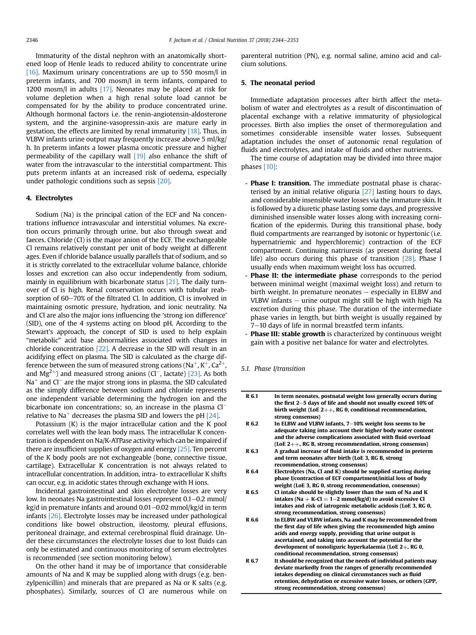Immaturity of the distal nephron with an anatomically shortened loop of Henle leads to reduced ability to concentrate urine [\[16\].](#page-7-0) Maximum urinary concentrations are up to 550 mosm/l in preterm infants, and 700 mosm/l in term infants, compared to 1200 mosm/l in adults [\[17\].](#page-7-0) Neonates may be placed at risk for volume depletion when a high renal solute load cannot be compensated for by the ability to produce concentrated urine. Although hormonal factors i.e. the renin-angiotensin-aldosterone system, and the arginine-vasopressin-axis are mature early in gestation, the effects are limited by renal immaturity [\[18\].](#page-7-0) Thus, in VLBW infants urine output may frequently increase above 5 ml/kg/ h. In preterm infants a lower plasma oncotic pressure and higher permeability of the capillary wall [\[19\]](#page-7-0) also enhance the shift of water from the intravascular to the interstitial compartment. This puts preterm infants at an increased risk of oedema, especially under pathologic conditions such as sepsis [\[20\].](#page-7-0)

## 4. Electrolytes

Sodium (Na) is the principal cation of the ECF and Na concentrations influence intravascular and interstitial volumes. Na excretion occurs primarily through urine, but also through sweat and faeces. Chloride (Cl) is the major anion of the ECF. The exchangeable Cl remains relatively constant per unit of body weight at different ages. Even if chloride balance usually parallels that of sodium, and so it is strictly correlated to the extracellular volume balance, chloride losses and excretion can also occur independently from sodium, mainly in equilibrium with bicarbonate status [\[21\].](#page-7-0) The daily turnover of Cl is high. Renal conservation occurs with tubular reabsorption of 60-70% of the filtrated Cl. In addition, Cl is involved in maintaining osmotic pressure, hydration, and ionic neutrality. Na and Cl are also the major ions influencing the 'strong ion difference' (SID), one of the 4 systems acting on blood pH. According to the Stewart's approach, the concept of SID is used to help explain "metabolic" acid base abnormalities associated with changes in chloride concentration [\[22\]](#page-7-0). A decrease in the SID will result in an acidifying effect on plasma. The SID is calculated as the charge difference between the sum of measured strong cations (Na<sup>+</sup>, K<sup>+</sup>, Ca<sup>2+</sup>, and Mg<sup>2+</sup>) and measured strong anions (Cl<sup>-</sup>, lactate) [\[23\]](#page-7-0). As both Na<sup>+</sup> and Cl<sup>-</sup> are the major strong ions in plasma, the SID calculated as the simply difference between sodium and chloride represents one independent variable determining the hydrogen ion and the bicarbonate ion concentrations; so, an increase in the plasma Cl relative to Na<sup>+</sup> decreases the plasma SID and lowers the pH  $[24]$ .

Potassium (K) is the major intracellular cation and the K pool correlates well with the lean body mass. The intracellular K concentration is dependent on Na/K-ATPase activity which can be impaired if there are insufficient supplies of oxygen and energy [\[25\]](#page-7-0). Ten percent of the K body pools are not exchangeable (bone, connective tissue, cartilage). Extracellular K concentration is not always related to intracellular concentration. In addition, intra- to extracellular K shifts can occur, e.g. in acidotic states through exchange with H ions.

Incidental gastrointestinal and skin electrolyte losses are very low. In neonates Na gastrointestinal losses represent 0.1–0.2 mmol/ kg/d in premature infants and around  $0.01-0.02$  mmol/kg/d in term infants [\[26\].](#page-7-0) Electrolyte losses may be increased under pathological conditions like bowel obstruction, ileostomy, pleural effusions, peritoneal drainage, and external cerebrospinal fluid drainage. Under these circumstances the electrolyte losses due to lost fluids can only be estimated and continuous monitoring of serum electrolytes is recommended (see section monitoring below).

On the other hand it may be of importance that considerable amounts of Na and K may be supplied along with drugs (e.g. benzylpenicillin) and minerals that are prepared as Na or K salts (e.g. phosphates). Similarly, sources of Cl are numerous while on parenteral nutrition (PN), e.g. normal saline, amino acid and calcium solutions.

## 5. The neonatal period

Immediate adaptation processes after birth affect the metabolism of water and electrolytes as a result of discontinuation of placental exchange with a relative immaturity of physiological processes. Birth also implies the onset of thermoregulation and sometimes considerable insensible water losses. Subsequent adaptation includes the onset of autonomic renal regulation of fluids and electrolytes, and intake of fluids and other nutrients.

The time course of adaptation may be divided into three major phases [\[10\]:](#page-7-0)

- Phase I: transition. The immediate postnatal phase is characterised by an initial relative oliguria [\[27\]](#page-7-0) lasting hours to days, and considerable insensible water losses via the immature skin. It is followed by a diuretic phase lasting some days, and progressive diminished insensible water losses along with increasing cornification of the epidermis. During this transitional phase, body fluid compartments are rearranged by isotonic or hypertonic (i.e. hypernatriemic and hyperchloremic) contraction of the ECF compartment. Continuing natriuresis (as present during foetal life) also occurs during this phase of transition [\[28\].](#page-7-0) Phase I usually ends when maximum weight loss has occurred.
- Phase II: the intermediate phase corresponds to the period between minimal weight (maximal weight loss) and return to birth weight. In premature neonates  $-$  especially in ELBW and VLBW infants  $-$  urine output might still be high with high Na excretion during this phase. The duration of the intermediate phase varies in length, but birth weight is usually regained by  $7-10$  days of life in normal breastfed term infants.
- Phase III: stable growth is characterized by continuous weight gain with a positive net balance for water and electrolytes.

5.1. Phase I/transition

| R 6.1 | In term neonates, postnatal weight loss generally occurs during<br>the first 2-5 days of life and should not usually exceed 10% of<br>birth weight (LoE $2++$ , RG 0, conditional recommendation,                                                                                                                                                             |
|-------|---------------------------------------------------------------------------------------------------------------------------------------------------------------------------------------------------------------------------------------------------------------------------------------------------------------------------------------------------------------|
| R 6.2 | strong consensus)<br>In ELBW and VLBW infants, 7-10% weight loss seems to be<br>adequate taking into account their higher body water content<br>and the adverse complications associated with fluid overload<br>(LoE $2++$ , RG B, strong recommendation, strong consensus)                                                                                   |
| R 6.3 | A gradual increase of fluid intake is recommended in preterm<br>and term neonates after birth (LoE 3, RG B, strong<br>recommendation, strong consensus)                                                                                                                                                                                                       |
| R 6.4 | Electrolytes (Na, Cl and K) should be supplied starting during<br>phase I/contraction of ECF compartment/initial loss of body<br>weight (LoE 3, RG 0, strong recommendation, consensus)                                                                                                                                                                       |
| R 6.5 | Cl intake should be slightly lower than the sum of Na and K<br>intakes (Na + K-Cl = $1-2$ mmol/kg/d) to avoid excessive Cl<br>intakes and risk of iatrogenic metabolic acidosis (LoE 3, RG 0,<br>strong recommendation, strong consensus)                                                                                                                     |
| R 6.6 | In ELBW and VLBW infants, Na and K may be recommended from<br>the first day of life when giving the recommended high amino<br>acids and energy supply, providing that urine output is<br>ascertained, and taking into account the potential for the<br>development of nonoliguric hyperkalaemia (LoE $2+$ , RG 0,                                             |
| R 6.7 | conditional recommendation, strong consensus)<br>It should be recognized that the needs of individual patients may<br>deviate markedly from the ranges of generally recommended<br>intakes depending on clinical circumstances such as fluid<br>retention, dehydration or excessive water losses, or others (GPP,<br>strong recommendation, strong consensus) |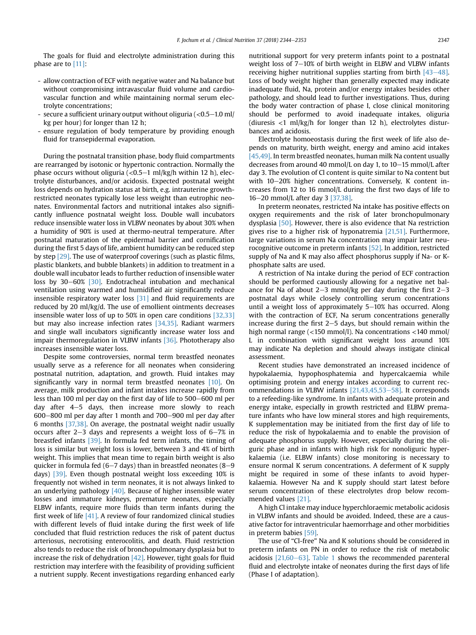The goals for fluid and electrolyte administration during this phase are to [\[11\]:](#page-7-0)

- allow contraction of ECF with negative water and Na balance but without compromising intravascular fluid volume and cardiovascular function and while maintaining normal serum electrolyte concentrations;
- secure a sufficient urinary output without oliguria  $\langle$  <0.5–1.0 ml/ kg per hour) for longer than 12 h;
- ensure regulation of body temperature by providing enough fluid for transepidermal evaporation.

During the postnatal transition phase, body fluid compartments are rearranged by isotonic or hypertonic contraction. Normally the phase occurs without oliguria  $\left($  <0.5-1 ml/kg/h within 12 h), electrolyte disturbances, and/or acidosis. Expected postnatal weight loss depends on hydration status at birth, e.g. intrauterine growthrestricted neonates typically lose less weight than eutrophic neonates. Environmental factors and nutritional intakes also significantly influence postnatal weight loss. Double wall incubators reduce insensible water loss in VLBW neonates by about 30% when a humidity of 90% is used at thermo-neutral temperature. After postnatal maturation of the epidermal barrier and cornification during the first 5 days of life, ambient humidity can be reduced step by step [\[29\].](#page-7-0) The use of waterproof coverings (such as plastic films, plastic blankets, and bubble blankets) in addition to treatment in a double wall incubator leads to further reduction of insensible water loss by 30–60% [\[30\]](#page-8-0). Endotracheal intubation and mechanical ventilation using warmed and humidified air significantly reduce insensible respiratory water loss [\[31\]](#page-8-0) and fluid requirements are reduced by 20 ml/kg/d. The use of emollient ointments decreases insensible water loss of up to 50% in open care conditions [\[32,33\]](#page-8-0) but may also increase infection rates [\[34,35\].](#page-8-0) Radiant warmers and single wall incubators significantly increase water loss and impair thermoregulation in VLBW infants [\[36\]](#page-8-0). Phototherapy also increases insensible water loss.

Despite some controversies, normal term breastfed neonates usually serve as a reference for all neonates when considering postnatal nutrition, adaptation, and growth. Fluid intakes may significantly vary in normal term breastfed neonates [\[10\].](#page-7-0) On average, milk production and infant intakes increase rapidly from less than 100 ml per day on the first day of life to 500-600 ml per day after  $4-5$  days, then increase more slowly to reach  $600-800$  ml per day after 1 month and  $700-900$  ml per day after 6 months [\[37,38\]](#page-8-0). On average, the postnatal weight nadir usually occurs after  $2-3$  days and represents a weight loss of  $6-7\%$  in breastfed infants [\[39\].](#page-8-0) In formula fed term infants, the timing of loss is similar but weight loss is lower, between 3 and 4% of birth weight. This implies that mean time to regain birth weight is also quicker in formula fed  $(6-7$  days) than in breastfed neonates  $(8-9)$ days) [\[39\].](#page-8-0) Even though postnatal weight loss exceeding 10% is frequently not wished in term neonates, it is not always linked to an underlying pathology  $[40]$ . Because of higher insensible water losses and immature kidneys, premature neonates, especially ELBW infants, require more fluids than term infants during the first week of life  $[41]$ . A review of four randomized clinical studies with different levels of fluid intake during the first week of life concluded that fluid restriction reduces the risk of patent ductus arteriosus, necrotising enterocolitis, and death. Fluid restriction also tends to reduce the risk of bronchopulmonary dysplasia but to increase the risk of dehydration  $[42]$ . However, tight goals for fluid restriction may interfere with the feasibility of providing sufficient a nutrient supply. Recent investigations regarding enhanced early

nutritional support for very preterm infants point to a postnatal weight loss of  $7-10\%$  of birth weight in ELBW and VLBW infants receiving higher nutritional supplies starting from birth  $[43-48]$  $[43-48]$ . Loss of body weight higher than generally expected may indicate inadequate fluid, Na, protein and/or energy intakes besides other pathology, and should lead to further investigations. Thus, during the body water contraction of phase I, close clinical monitoring should be performed to avoid inadequate intakes, oliguria (diuresis  $\langle 1 \text{ ml/kg/h}$  for longer than 12 h), electrolytes disturbances and acidosis.

Electrolyte homoeostasis during the first week of life also depends on maturity, birth weight, energy and amino acid intakes [\[45,49\]](#page-8-0). In term breastfed neonates, human milk Na content usually decreases from around 40 mmol/L on day 1, to  $10-15$  mmol/L after day 3. The evolution of Cl content is quite similar to Na content but with  $10-20\%$  higher concentrations. Conversely, K content increases from 12 to 16 mmol/L during the first two days of life to 16–20 mmol/L after day 3 [\[37,38\]](#page-8-0).

In preterm neonates, restricted Na intake has positive effects on oxygen requirements and the risk of later bronchopulmonary dysplasia [\[50\]](#page-8-0). However, there is also evidence that Na restriction gives rise to a higher risk of hyponatremia [\[21,51\].](#page-7-0) Furthermore, large variations in serum Na concentration may impair later neurocognitive outcome in preterm infants [\[52\]](#page-8-0). In addition, restricted supply of Na and K may also affect phosphorus supply if Na- or Kphosphate salts are used.

A restriction of Na intake during the period of ECF contraction should be performed cautiously allowing for a negative net balance for Na of about 2–3 mmol/kg per day during the first  $2-3$ postnatal days while closely controlling serum concentrations until a weight loss of approximately  $5-10\%$  has occurred. Along with the contraction of ECF, Na serum concentrations generally increase during the first  $2-5$  days, but should remain within the high normal range (<150 mmol/l). Na concentrations <140 mmol/ L in combination with significant weight loss around 10% may indicate Na depletion and should always instigate clinical assessment.

Recent studies have demonstrated an increased incidence of hypokalaemia, hypophosphatemia and hypercalcaemia while optimising protein and energy intakes according to current recommendations in VLBW infants  $[21,43,45,53-58]$  $[21,43,45,53-58]$  $[21,43,45,53-58]$ . It corresponds to a refeeding-like syndrome. In infants with adequate protein and energy intake, especially in growth restricted and ELBW premature infants who have low mineral stores and high requirements, K supplementation may be initiated from the first day of life to reduce the risk of hypokalaemia and to enable the provision of adequate phosphorus supply. However, especially during the oliguric phase and in infants with high risk for nonoliguric hyperkalaemia (i.e. ELBW infants) close monitoring is necessary to ensure normal K serum concentrations. A deferment of K supply might be required in some of these infants to avoid hyperkalaemia. However Na and K supply should start latest before serum concentration of these electrolytes drop below recommended values [\[21\]](#page-7-0).

A high Cl intake may induce hyperchloraemic metabolic acidosis in VLBW infants and should be avoided. Indeed, these are a causative factor for intraventricular haemorrhage and other morbidities in preterm babies [\[59\]](#page-8-0).

The use of "Cl-free" Na and K solutions should be considered in preterm infants on PN in order to reduce the risk of metabolic acidosis  $[21,60-63]$  $[21,60-63]$  $[21,60-63]$ . [Table 1](#page-4-0) shows the recommended parenteral fluid and electrolyte intake of neonates during the first days of life (Phase I of adaptation).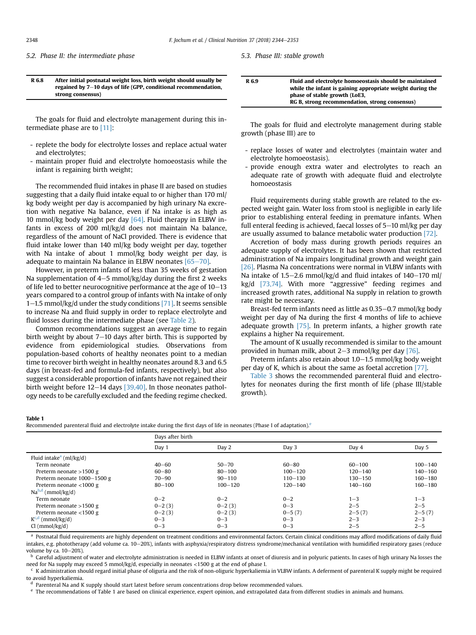<span id="page-4-0"></span>5.2. Phase II: the intermediate phase

5.3. Phase III: stable growth

## R 6.8 After initial postnatal weight loss, birth weight should usually be regained by  $7-10$  days of life (GPP, conditional recommendation, strong consensus)

The goals for fluid and electrolyte management during this intermediate phase are to [\[11\]](#page-7-0):

- replete the body for electrolyte losses and replace actual water and electrolytes;
- maintain proper fluid and electrolyte homoeostasis while the infant is regaining birth weight;

The recommended fluid intakes in phase II are based on studies suggesting that a daily fluid intake equal to or higher than 170 ml/ kg body weight per day is accompanied by high urinary Na excretion with negative Na balance, even if Na intake is as high as 10 mmol/kg body weight per day [\[64\].](#page-8-0) Fluid therapy in ELBW infants in excess of 200 ml/kg/d does not maintain Na balance, regardless of the amount of NaCl provided. There is evidence that fluid intake lower than 140 ml/kg body weight per day, together with Na intake of about 1 mmol/kg body weight per day, is adequate to maintain Na balance in ELBW neonates  $[65-70]$  $[65-70]$ .

However, in preterm infants of less than 35 weeks of gestation Na supplementation of  $4-5$  mmol/kg/day during the first 2 weeks of life led to better neurocognitive performance at the age of  $10-13$ years compared to a control group of infants with Na intake of only 1–1.5 mmol/kg/d under the study conditions [\[71\].](#page-8-0) It seems sensible to increase Na and fluid supply in order to replace electrolyte and fluid losses during the intermediate phase (see [Table 2](#page-5-0)).

Common recommendations suggest an average time to regain birth weight by about  $7-10$  days after birth. This is supported by evidence from epidemiological studies. Observations from population-based cohorts of healthy neonates point to a median time to recover birth weight in healthy neonates around 8.3 and 6.5 days (in breast-fed and formula-fed infants, respectively), but also suggest a considerable proportion of infants have not regained their birth weight before  $12-14$  days [\[39,40\]](#page-8-0). In those neonates pathology needs to be carefully excluded and the feeding regime checked.

| R 6.9 | Fluid and electrolyte homoeostasis should be maintained   |
|-------|-----------------------------------------------------------|
|       | while the infant is gaining appropriate weight during the |
|       | phase of stable growth (LoE3.                             |
|       | RG B, strong recommendation, strong consensus)            |

The goals for fluid and electrolyte management during stable growth (phase III) are to

- replace losses of water and electrolytes (maintain water and electrolyte homoeostasis).
- provide enough extra water and electrolytes to reach an adequate rate of growth with adequate fluid and electrolyte homoeostasis

Fluid requirements during stable growth are related to the expected weight gain. Water loss from stool is negligible in early life prior to establishing enteral feeding in premature infants. When full enteral feeding is achieved, faecal losses of  $5-10$  ml/kg per day are usually assumed to balance metabolic water production [\[72\].](#page-8-0)

Accretion of body mass during growth periods requires an adequate supply of electrolytes. It has been shown that restricted administration of Na impairs longitudinal growth and weight gain [\[26\]](#page-7-0). Plasma Na concentrations were normal in VLBW infants with Na intake of 1.5–2.6 mmol/kg/d and fluid intakes of  $140-170$  ml/ kg/d [\[73,74\].](#page-8-0) With more "aggressive" feeding regimes and increased growth rates, additional Na supply in relation to growth rate might be necessary.

Breast-fed term infants need as little as 0.35–0.7 mmol/kg body weight per day of Na during the first 4 months of life to achieve adequate growth [\[75\].](#page-8-0) In preterm infants, a higher growth rate explains a higher Na requirement.

The amount of K usually recommended is similar to the amount provided in human milk, about  $2-3$  mmol/kg per day [\[76\].](#page-8-0)

Preterm infants also retain about  $1.0-1.5$  mmol/kg body weight per day of K, which is about the same as foetal accretion [\[77\]](#page-8-0).

[Table 3](#page-5-0) shows the recommended parenteral fluid and electrolytes for neonates during the first month of life (phase III/stable growth).

#### Table 1

Recommended parenteral fluid and electrolyte intake during the first days of life in neonates (Phase I of adaptation).<sup>e</sup>

|                                     | Davs after birth |             |             |             |             |
|-------------------------------------|------------------|-------------|-------------|-------------|-------------|
|                                     | Day 1            | Day 2       | Day 3       | Day 4       | Day 5       |
| Fluid intake <sup>a</sup> (ml/kg/d) |                  |             |             |             |             |
| Term neonate                        | $40 - 60$        | $50 - 70$   | $60 - 80$   | $60 - 100$  | $100 - 140$ |
| Preterm neonate $>1500$ g           | $60 - 80$        | $80 - 100$  | $100 - 120$ | $120 - 140$ | $140 - 160$ |
| Preterm neonate $1000-1500$ g       | 70–90            | $90 - 110$  | $110 - 130$ | $130 - 150$ | 160-180     |
| Preterm neonate $<$ 1000 g          | $80 - 100$       | $100 - 120$ | $120 - 140$ | $140 - 160$ | $160 - 180$ |
| $Nab,d$ (mmol/kg/d)                 |                  |             |             |             |             |
| Term neonate                        | $0 - 2$          | $0 - 2$     | $0 - 2$     | $1 - 3$     | $1 - 3$     |
| Preterm neonate $>1500$ g           | $0 - 2(3)$       | $0 - 2(3)$  | $0 - 3$     | $2 - 5$     | $2 - 5$     |
| Preterm neonate $<$ 1500 g          | $0 - 2(3)$       | $0 - 2(3)$  | $0 - 5(7)$  | $2 - 5(7)$  | $2 - 5(7)$  |
| $K^{c,d}$ (mmol/kg/d)               | $0 - 3$          | $0 - 3$     | $0 - 3$     | $2 - 3$     | $2 - 3$     |
| Cl (mmol/kg/d)                      | $0 - 3$          | $0 - 3$     | $0 - 3$     | $2 - 5$     | $2 - 5$     |

a Postnatal fluid requirements are highly dependent on treatment conditions and environmental factors. Certain clinical conditions may afford modifications of daily fluid intakes, e.g. phototherapy (add volume ca. 10-20%), infants with asphyxia/respiratory distress syndrome/mechanical ventilation with humidified respiratory gases (reduce volume by ca.  $10-20%$ ).

**b** Careful adjustment of water and electrolyte administration is needed in ELBW infants at onset of diuresis and in polyuric patients. In cases of high urinary Na losses the need for Na supply may exceed 5 mmol/kg/d, especially in neonates <1500 g at the end of phase I.

<sup>c</sup> K administration should regard initial phase of oliguria and the risk of non-oliguric hyperkaliemia in VLBW infants. A deferment of parenteral K supply might be required to avoid hyperkaliemia.

<sup>d</sup> Parenteral Na and K supply should start latest before serum concentrations drop below recommended values.

<sup>e</sup> The recommendations of Table 1 are based on clinical experience, expert opinion, and extrapolated data from different studies in animals and humans.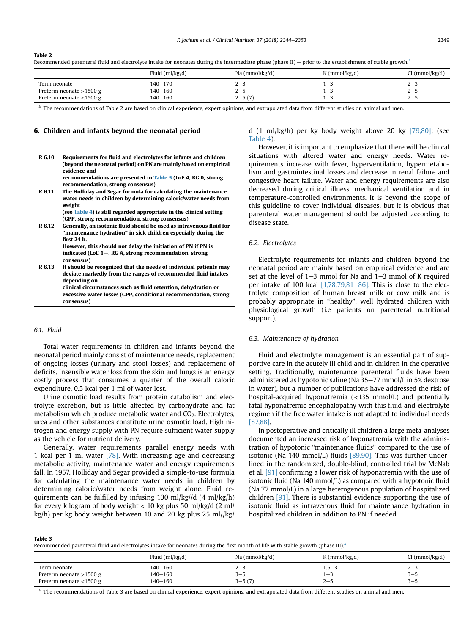#### <span id="page-5-0"></span>Table 2

Recommended parenteral fluid and electrolyte intake for neonates during the intermediate phase (phase II) - prior to the establishment of stable growth.<sup>a</sup>

|                            | Fluid $(ml/kg/d)$ | Na (mmol/kg/d) | $K$ (mmol/kg/d) | l (mmol/kg/d) |
|----------------------------|-------------------|----------------|-----------------|---------------|
| Term neonate               | 140-170           | 2-3            | $-$             | $2 - 3$       |
| Preterm neonate $>1500$ g  | 140-160           | $2 - 5$        | . <sub>—</sub>  | $2 - 5$       |
| Preterm neonate $<$ 1500 g | 140-160           | $2 - 5(7)$     |                 | $2 - 5$       |

<sup>a</sup> The recommendations of Table 2 are based on clinical experience, expert opinions, and extrapolated data from different studies on animal and men.

## 6. Children and infants beyond the neonatal period

| R 6.10 | Requirements for fluid and electrolytes for infants and children<br>(beyond the neonatal period) on PN are mainly based on empirical<br>evidence and<br>recommendations are presented in Table 5 (LoE 4, RG 0, strong<br>recommendation, strong consensus) |
|--------|------------------------------------------------------------------------------------------------------------------------------------------------------------------------------------------------------------------------------------------------------------|
| R 6.11 | The Holliday and Segar formula for calculating the maintenance                                                                                                                                                                                             |
|        | water needs in children by determining caloric/water needs from<br>weight                                                                                                                                                                                  |
|        | (see Table 4) is still regarded appropriate in the clinical setting                                                                                                                                                                                        |
|        | (GPP, strong recommendation, strong consensus)                                                                                                                                                                                                             |
| R 6.12 | Generally, an isotonic fluid should be used as intravenous fluid for<br>"maintenance hydration" in sick children especially during the<br>first 24 h.                                                                                                      |
|        | However, this should not delay the initiation of PN if PN is                                                                                                                                                                                               |
|        | indicated (LoE $1+$ , RG A, strong recommendation, strong<br>consensus)                                                                                                                                                                                    |
| R 6.13 | It should be recognized that the needs of individual patients may<br>deviate markedly from the ranges of recommended fluid intakes<br>depending on                                                                                                         |
|        | clinical circumstances such as fluid retention, dehydration or<br>excessive water losses (GPP, conditional recommendation, strong<br>consensus)                                                                                                            |

## 6.1. Fluid

Total water requirements in children and infants beyond the neonatal period mainly consist of maintenance needs, replacement of ongoing losses (urinary and stool losses) and replacement of deficits. Insensible water loss from the skin and lungs is an energy costly process that consumes a quarter of the overall caloric expenditure, 0.5 kcal per 1 ml of water lost.

Urine osmotic load results from protein catabolism and electrolyte excretion, but is little affected by carbohydrate and fat metabolism which produce metabolic water and CO<sub>2</sub>. Electrolytes, urea and other substances constitute urine osmotic load. High nitrogen and energy supply with PN require sufficient water supply as the vehicle for nutrient delivery.

Generally, water requirements parallel energy needs with 1 kcal per 1 ml water [\[78\]](#page-8-0). With increasing age and decreasing metabolic activity, maintenance water and energy requirements fall. In 1957, Holliday and Segar provided a simple-to-use formula for calculating the maintenance water needs in children by determining caloric/water needs from weight alone. Fluid requirements can be fulfilled by infusing 100 ml/kg//d (4 ml/kg/h) for every kilogram of body weight  $<$  10 kg plus 50 ml/kg/d (2 ml/ kg/h) per kg body weight between 10 and 20 kg plus 25 ml//kg/ d (1 ml/kg/h) per kg body weight above 20 kg [\[79,80\];](#page-8-0) (see [Table 4](#page-6-0)).

However, it is important to emphasize that there will be clinical situations with altered water and energy needs. Water requirements increase with fever, hyperventilation, hypermetabolism and gastrointestinal losses and decrease in renal failure and congestive heart failure. Water and energy requirements are also decreased during critical illness, mechanical ventilation and in temperature-controlled environments. It is beyond the scope of this guideline to cover individual diseases, but it is obvious that parenteral water management should be adjusted according to disease state.

## 6.2. Electrolytes

Electrolyte requirements for infants and children beyond the neonatal period are mainly based on empirical evidence and are set at the level of  $1-3$  mmol for Na and  $1-3$  mmol of K required per intake of 100 kcal  $[1,78,79,81-86]$  $[1,78,79,81-86]$ . This is close to the electrolyte composition of human breast milk or cow milk and is probably appropriate in "healthy", well hydrated children with physiological growth (i.e patients on parenteral nutritional support).

## 6.3. Maintenance of hydration

Fluid and electrolyte management is an essential part of supportive care in the acutely ill child and in children in the operative setting. Traditionally, maintenance parenteral fluids have been administered as hypotonic saline (Na  $35-77$  mmol/L in 5% dextrose in water), but a number of publications have addressed the risk of hospital-acquired hyponatremia (<135 mmol/L) and potentially fatal hyponatremic encephalopathy with this fluid and electrolyte regimen if the free water intake is not adapted to individual needs [\[87,88\].](#page-9-0)

In postoperative and critically ill children a large meta-analyses documented an increased risk of hyponatremia with the administration of hypotonic "maintenance fluids" compared to the use of isotonic (Na 140 mmol/L) fluids [\[89,90\].](#page-9-0) This was further underlined in the randomized, double-blind, controlled trial by McNab et al. [\[91\]](#page-9-0) confirming a lower risk of hyponatremia with the use of isotonic fluid (Na 140 mmol/L) as compared with a hypotonic fluid (Na 77 mmol/L) in a large heterogenous population of hospitalized children [\[91\].](#page-9-0) There is substantial evidence supporting the use of isotonic fluid as intravenous fluid for maintenance hydration in hospitalized children in addition to PN if needed.

Table 3

Recommended parenteral fluid and electrolytes intake for neonates during the first month of life with stable growth (phase III).<sup>a</sup>

|                            | Fluid $(ml/kg/d)$ | Na (mmol/kg/d) | $K$ (mmol/kg/d)   | (mmol/kg/d) |
|----------------------------|-------------------|----------------|-------------------|-------------|
| Term neonate               | 140–160           | $2 - z$        | $1.5 - ?$         | $2 - 3$     |
| Preterm neonate >1500 g    | 140-160           | <b>シーン</b>     | $ -$              | 3-5         |
| Preterm neonate $<$ 1500 g | 140-160           | $3 - 5(7)$     | $\sim$<br>$2 - 5$ | ューコ         |

<sup>a</sup> The recommendations of Table 3 are based on clinical experience, expert opinions, and extrapolated data from different studies on animal and men.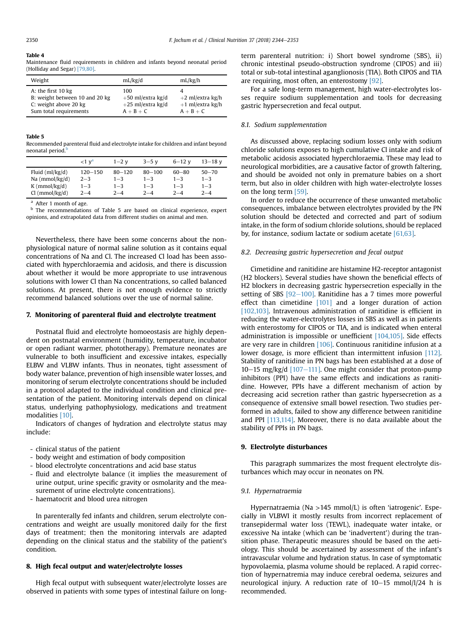#### <span id="page-6-0"></span>Table 4

Maintenance fluid requirements in children and infants beyond neonatal period (Holliday and Segar) [\[79,80\]](#page-8-0).

| Weight                                                                                                  | mL/kg/d                                                           | mL/kg/h                                                 |
|---------------------------------------------------------------------------------------------------------|-------------------------------------------------------------------|---------------------------------------------------------|
| A: the first 10 kg<br>B: weight between 10 and 20 kg<br>C: weight above 20 kg<br>Sum total requirements | 100.<br>$+50$ ml/extra kg/d<br>$+25$ ml/extra kg/d<br>$A + B + C$ | $+2$ ml/extra kg/h<br>$+1$ ml/extra kg/h<br>$A + B + C$ |

#### Table 5

Recommended parenteral fluid and electrolyte intake for children and infant beyond neonatal period.<sup>b</sup>

|                   | $<1$ $vd$   | $1 - 2$ v  | $3 - 5$ v  | $6 - 12$ v | $13 - 18$ v |
|-------------------|-------------|------------|------------|------------|-------------|
| Fluid $(ml/kg/d)$ | $120 - 150$ | $80 - 120$ | $80 - 100$ | 60–80      | $50 - 70$   |
| $Na$ (mmol/kg/d)  | $2 - 3$     | $1 - 3$    | $1 - 3$    | $1 - 3$    | $1 - 3$     |
| $K$ (mmol/kg/d)   | $1 - 3$     | $1 - 3$    | $1 - 3$    | $1 - 3$    | $1 - 3$     |
| $Cl$ (mmol/kg/d)  | $2 - 4$     | $2 - 4$    | $2 - 4$    | $2 - 4$    | $2 - 4$     |

After 1 month of age.

b The recommendations of Table 5 are based on clinical experience, expert opinions, and extrapolated data from different studies on animal and men.

Nevertheless, there have been some concerns about the nonphysiological nature of normal saline solution as it contains equal concentrations of Na and Cl. The increased Cl load has been associated with hyperchloraemia and acidosis, and there is discussion about whether it would be more appropriate to use intravenous solutions with lower Cl than Na concentrations, so called balanced solutions. At present, there is not enough evidence to strictly recommend balanced solutions over the use of normal saline.

## 7. Monitoring of parenteral fluid and electrolyte treatment

Postnatal fluid and electrolyte homoeostasis are highly dependent on postnatal environment (humidity, temperature, incubator or open radiant warmer, phototherapy). Premature neonates are vulnerable to both insufficient and excessive intakes, especially ELBW and VLBW infants. Thus in neonates, tight assessment of body water balance, prevention of high insensible water losses, and monitoring of serum electrolyte concentrations should be included in a protocol adapted to the individual condition and clinical presentation of the patient. Monitoring intervals depend on clinical status, underlying pathophysiology, medications and treatment modalities [\[10\].](#page-7-0)

Indicators of changes of hydration and electrolyte status may include:

- clinical status of the patient
- body weight and estimation of body composition
- blood electrolyte concentrations and acid base status
- fluid and electrolyte balance (it implies the measurement of urine output, urine specific gravity or osmolarity and the measurement of urine electrolyte concentrations).
- haematocrit and blood urea nitrogen

In parenterally fed infants and children, serum electrolyte concentrations and weight are usually monitored daily for the first days of treatment; then the monitoring intervals are adapted depending on the clinical status and the stability of the patient's condition.

## 8. High fecal output and water/electrolyte losses

High fecal output with subsequent water/electrolyte losses are observed in patients with some types of intestinal failure on longterm parenteral nutrition: i) Short bowel syndrome (SBS), ii) chronic intestinal pseudo-obstruction syndrome (CIPOS) and iii) total or sub-total intestinal aganglionosis (TIA). Both CIPOS and TIA are requiring, most often, an enterostomy [\[92\].](#page-9-0)

For a safe long-term management, high water-electrolytes losses require sodium supplementation and tools for decreasing gastric hypersecretion and fecal output.

## 8.1. Sodium supplementation

As discussed above, replacing sodium losses only with sodium chloride solutions exposes to high cumulative Cl intake and risk of metabolic acidosis associated hyperchloraemia. These may lead to neurological morbidities, are a causative factor of growth faltering, and should be avoided not only in premature babies on a short term, but also in older children with high water-electrolyte losses on the long term [\[59\].](#page-8-0)

In order to reduce the occurrence of these unwanted metabolic consequences, imbalance between electrolytes provided by the PN solution should be detected and corrected and part of sodium intake, in the form of sodium chloride solutions, should be replaced by, for instance, sodium lactate or sodium acetate [\[61,63\]](#page-8-0).

# 8.2. Decreasing gastric hypersecretion and fecal output

Cimetidine and ranitidine are histamine H2-receptor antagonist (H2 blockers). Several studies have shown the beneficial effects of H2 blockers in decreasing gastric hypersecretion especially in the setting of SBS  $[92-100]$  $[92-100]$  $[92-100]$ . Ranitidine has a 7 times more powerful effect than cimetidine [\[101\]](#page-9-0) and a longer duration of action [\[102,103\]](#page-9-0). Intravenous administration of ranitidine is efficient in reducing the water-electrolytes losses in SBS as well as in patients with enterostomy for CIPOS or TIA, and is indicated when enteral administration is impossible or unefficient [\[104,105\]](#page-9-0). Side effects are very rare in children [\[106\]](#page-9-0). Continuous ranitidine infusion at a lower dosage, is more efficient than intermittent infusion [\[112\].](#page-9-0) Stability of ranitidine in PN bags has been established at a dose of 10-15 mg/kg/d  $[107-111]$  $[107-111]$ . One might consider that proton-pump inhibitors (PPI) have the same effects and indications as ranitidine. However, PPIs have a different mechanism of action by decreasing acid secretion rather than gastric hypersecretion as a consequence of extensive small bowel resection. Two studies performed in adults, failed to show any difference between ranitidine and PPI [\[113,114\]](#page-9-0). Moreover, there is no data available about the stability of PPIs in PN bags.

## 9. Electrolyte disturbances

This paragraph summarizes the most frequent electrolyte disturbances which may occur in neonates on PN.

## 9.1. Hypernatraemia

Hypernatraemia (Na >145 mmol/L) is often 'iatrogenic'. Especially in VLBWI it mostly results from incorrect replacement of transepidermal water loss (TEWL), inadequate water intake, or excessive Na intake (which can be 'inadvertent') during the transition phase. Therapeutic measures should be based on the aetiology. This should be ascertained by assessment of the infant's intravascular volume and hydration status. In case of symptomatic hypovolaemia, plasma volume should be replaced. A rapid correction of hypernatremia may induce cerebral oedema, seizures and neurological injury. A reduction rate of  $10-15$  mmol/l/24 h is recommended.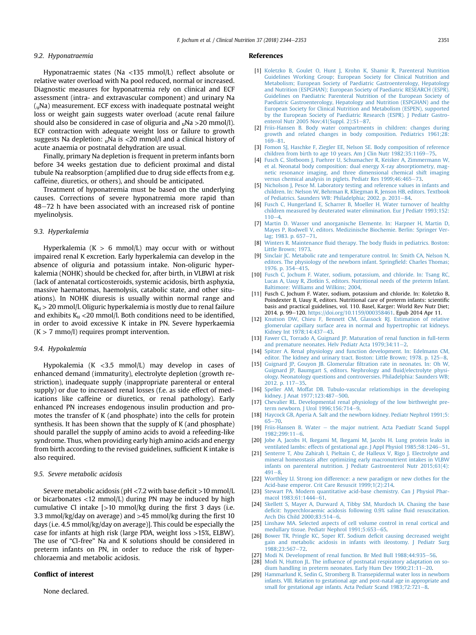#### <span id="page-7-0"></span>9.2. Hyponatraemia

Hyponatraemic states (Na <135 mmol/L) reflect absolute or relative water overload with Na pool reduced, normal or increased. Diagnostic measures for hyponatremia rely on clinical and ECF assessment (intra- and extravascular component) and urinary Na  $(uNa)$  measurement. ECF excess with inadequate postnatal weight loss or weight gain suggests water overload (acute renal failure should also be considered in case of oliguria and  $_{\text{u}}$ Na >20 mmol/l). ECF contraction with adequate weight loss or failure to growth suggests Na depletion:  $_0$ Na is <20 mmol/l and a clinical history of acute anaemia or postnatal dehydration are usual.

Finally, primary Na depletion is frequent in preterm infants born before 34 weeks gestation due to deficient proximal and distal tubule Na reabsorption (amplified due to drug side effects from e.g. caffeine, diuretics, or others), and should be anticipated.

Treatment of hyponatremia must be based on the underlying causes. Corrections of severe hyponatremia more rapid than 48-72 h have been associated with an increased risk of pontine myelinolysis.

## 9.3. Hyperkalemia

Hyperkalemia ( $K > 6$  mmol/L) may occur with or without impaired renal K excretion. Early hyperkalemia can develop in the absence of oliguria and potassium intake. Non-oliguric hyperkalemia (NOHK) should be checked for, after birth, in VLBWI at risk (lack of antenatal corticosteroids, systemic acidosis, birth asphyxia, massive haematomas, haemolysis, catabolic state, and other situations). In NOHK diuresis is usually within normal range and  $K_{\text{u}}$  > 20 mmol/l. Oliguric hyperkalemia is mostly due to renal failure and exhibits  $K<sub>u</sub> < 20$  mmol/l. Both conditions need to be identified, in order to avoid excessive K intake in PN. Severe hyperkaemia  $(K > 7$  mmo/l) requires prompt intervention.

#### 9.4. Hypokalemia

Hypokalemia (K <3.5 mmol/L) may develop in cases of enhanced demand (immaturity), electrolyte depletion (growth restriction), inadequate supply (inappropriate parenteral or enteral supply) or due to increased renal losses (f.e. as side effect of medications like caffeine or diuretics, or renal pathology). Early enhanced PN increases endogenous insulin production and promotes the transfer of K (and phosphate) into the cells for protein synthesis. It has been shown that the supply of K (and phosphate) should parallel the supply of amino acids to avoid a refeeding-like syndrome. Thus, when providing early high amino acids and energy from birth according to the revised guidelines, sufficient K intake is also required.

## 9.5. Severe metabolic acidosis

Severe metabolic acidosis ( $pH < 7.2$  with base deficit  $> 10$  mmol/L or bicarbonates  $\langle 12 \text{ mmol/L} \rangle$  during PN may be induced by high cumulative Cl intake  $\lceil$ >10 mmol/kg during the first 3 days (i.e. 3.3 mmol/kg/day on average) and >45 mmol/kg during the first 10 days (i.e. 4.5 mmol/kg/day on average)]. This could be especially the case for infants at high risk (large PDA, weight loss >15%, ELBW). The use of "Cl-free" Na and K solutions should be considered in preterm infants on PN, in order to reduce the risk of hyperchloraemia and metabolic acidosis.

## Conflict of interest

None declared.

#### References

- [1] [Koletzko B, Goulet O, Hunt J, Krohn K, Shamir R, Parenteral Nutrition](http://refhub.elsevier.com/S0261-5614(18)31167-1/sref1) [Guidelines Working Group; European Society for Clinical Nutrition and](http://refhub.elsevier.com/S0261-5614(18)31167-1/sref1) [Metabolism; European Society of Paediatric Gastroenterology, Hepatology](http://refhub.elsevier.com/S0261-5614(18)31167-1/sref1) [and Nutrition \(ESPGHAN\); European Society of Paediatric RESEARCH \(ESPR\).](http://refhub.elsevier.com/S0261-5614(18)31167-1/sref1) [Guidelines on Paediatric Parenteral Nutrition of the European Society of](http://refhub.elsevier.com/S0261-5614(18)31167-1/sref1) [Paediatric Gastroenterology, Hepatology and Nutrition \(ESPGHAN\) and the](http://refhub.elsevier.com/S0261-5614(18)31167-1/sref1) [European Society for Clinical Nutrition and Metabolism \(ESPEN\), supported](http://refhub.elsevier.com/S0261-5614(18)31167-1/sref1) [by the European Society of Paediatric Research \(ESPR\). J Pediatr Gastro](http://refhub.elsevier.com/S0261-5614(18)31167-1/sref1)enterol Nutr 2005 Nov; $41(Suppl. 2)$ : $S1-87$  $S1-87$ .
- [2] [Friis-Hansen B. Body water compartments in children: changes during](http://refhub.elsevier.com/S0261-5614(18)31167-1/sref2) [growth and related changes in body composition. Pediatrics 1961;28:](http://refhub.elsevier.com/S0261-5614(18)31167-1/sref2) [169](http://refhub.elsevier.com/S0261-5614(18)31167-1/sref2)-[81](http://refhub.elsevier.com/S0261-5614(18)31167-1/sref2)
- [3] [Fomon SJ, Haschke F, Ziegler EE, Nelson SE. Body composition of reference](http://refhub.elsevier.com/S0261-5614(18)31167-1/sref3) [children from birth to age 10 years. Am J Clin Nutr 1982;35:1169](http://refhub.elsevier.com/S0261-5614(18)31167-1/sref3)-[75.](http://refhub.elsevier.com/S0261-5614(18)31167-1/sref3)
- [4] [Fusch C, Slotboom J, Fuehrer U, Schumacher R, Keisker A, Zimmermann W,](http://refhub.elsevier.com/S0261-5614(18)31167-1/sref4) [et al. Neonatal body composition: dual energy X-ray absorptiometry, mag](http://refhub.elsevier.com/S0261-5614(18)31167-1/sref4)[netic resonance imaging, and three dimensional chemical shift imaging](http://refhub.elsevier.com/S0261-5614(18)31167-1/sref4) [versus chemical analysis in piglets. Pediatr Res 1999;46:465](http://refhub.elsevier.com/S0261-5614(18)31167-1/sref4)-[73.](http://refhub.elsevier.com/S0261-5614(18)31167-1/sref4)
- [5] [Nicholson J, Pesce M. Laboratory testing and reference values in infants and](http://refhub.elsevier.com/S0261-5614(18)31167-1/sref5) [children. In: Nelson W, Behrman R, Kliegman R, Jenson HB, editors. Textbook](http://refhub.elsevier.com/S0261-5614(18)31167-1/sref5) [of Pediatrics. Saunders WB: Philadelphia; 2002. p. 2031](http://refhub.elsevier.com/S0261-5614(18)31167-1/sref5)-[84.](http://refhub.elsevier.com/S0261-5614(18)31167-1/sref5)
- [6] [Fusch C, Hungerland E, Scharrer B, Moeller H. Water turnover of healthy](http://refhub.elsevier.com/S0261-5614(18)31167-1/sref6) [children measured by deuterated water elimination. Eur J Pediatr 1993;152:](http://refhub.elsevier.com/S0261-5614(18)31167-1/sref6)  $110 - 4$  $110 - 4$  $110 - 4$
- [7] [Martin D. Wasser und anorganische Elemente. In: Harpner H, Martin D,](http://refhub.elsevier.com/S0261-5614(18)31167-1/sref7) [Mayes P, Rodwell V, editors. Medizinische Biochemie. Berlin: Springer Ver](http://refhub.elsevier.com/S0261-5614(18)31167-1/sref7)[lag; 1983. p. 657](http://refhub.elsevier.com/S0261-5614(18)31167-1/sref7)-[71.](http://refhub.elsevier.com/S0261-5614(18)31167-1/sref7)
- [8] Winters R. Maintenance fluid therapy. The body fl[uids in pediatrics. Boston:](http://refhub.elsevier.com/S0261-5614(18)31167-1/sref8) [Little Brown; 1973](http://refhub.elsevier.com/S0261-5614(18)31167-1/sref8).
- [9] [Sinclair JC. Metabolic rate and temperature control. In: Smith CA, Nelson N,](http://refhub.elsevier.com/S0261-5614(18)31167-1/sref9) [editors. The physiology of the newborn infant. Spring](http://refhub.elsevier.com/S0261-5614(18)31167-1/sref9)field: Charles Thomas; [1976. p. 354](http://refhub.elsevier.com/S0261-5614(18)31167-1/sref9)-[415](http://refhub.elsevier.com/S0261-5614(18)31167-1/sref9).
- [10] [Fusch C, Jochum F. Water, sodium, potassium, and chloride. In: Tsang RC,](http://refhub.elsevier.com/S0261-5614(18)31167-1/sref10) [Lucas A, Uauy R, Zlotkin S, editors. Nutritional needs of the preterm Infant.](http://refhub.elsevier.com/S0261-5614(18)31167-1/sref10) [Baltimore: Williams and Wilkins; 2004.](http://refhub.elsevier.com/S0261-5614(18)31167-1/sref10)
- [11] Fusch C, Jochum F. Water, sodium, potassium and chloride. In: Koletzko B, Poindexter B, Uauy R, editors. Nutritional care of preterm infants: scientific basis and practical guidelines, vol. 110. Basel, Karger: World Rev Nutr Diet; 2014. p. 99-120. <https://doi.org/10.1159/000358461>. Epub 2014 Apr 11.
- [12] [Knutson DW, Chieu F, Bennett CM, Glassock RJ. Estimation of relative](http://refhub.elsevier.com/S0261-5614(18)31167-1/sref12) [glomerular capillary surface area in normal and hypertrophic rat kidneys.](http://refhub.elsevier.com/S0261-5614(18)31167-1/sref12) Kidney Int 1978:14:437-[43.](http://refhub.elsevier.com/S0261-5614(18)31167-1/sref12)
- [13] [Fawer CL, Torrado A, Guignard JP. Maturation of renal function in full-term](http://refhub.elsevier.com/S0261-5614(18)31167-1/sref13) and premature neonates. Helv Pediatr Acta  $1979;34:11-2$  $1979;34:11-2$ .
- [14] [Spitzer A. Renal physiology and function development. In: Edelmann CM,](http://refhub.elsevier.com/S0261-5614(18)31167-1/sref14) [editor. The kidney and urinary tract. Boston: Little Brown; 1978. p. 125](http://refhub.elsevier.com/S0261-5614(18)31167-1/sref14)-[8](http://refhub.elsevier.com/S0261-5614(18)31167-1/sref14).
- [15] [Guignard JP, Gouyon JB. Glomerular](http://refhub.elsevier.com/S0261-5614(18)31167-1/sref15) filtration rate in neonates. In: Oh W, [Guignard JP, Baumgart S, editors. Nephrology and](http://refhub.elsevier.com/S0261-5614(18)31167-1/sref15) fluid/electrolyte physi[ology. Neonatology questions and controversies. Philadelphia: Saunders WB;](http://refhub.elsevier.com/S0261-5614(18)31167-1/sref15) [2012. p. 117](http://refhub.elsevier.com/S0261-5614(18)31167-1/sref15)-[35.](http://refhub.elsevier.com/S0261-5614(18)31167-1/sref15)
- [16] [Speller AM, Moffat DB. Tubulo-vascular relationships in the developing](http://refhub.elsevier.com/S0261-5614(18)31167-1/sref16) [kidney. J Anat 1977;123:487](http://refhub.elsevier.com/S0261-5614(18)31167-1/sref16)-[500](http://refhub.elsevier.com/S0261-5614(18)31167-1/sref16).
- [17] [Chevalier RL. Developmental renal physiology of the low birthweight pre](http://refhub.elsevier.com/S0261-5614(18)31167-1/sref17)[term newborn. J Urol 1996;156:714](http://refhub.elsevier.com/S0261-5614(18)31167-1/sref17)-[9.](http://refhub.elsevier.com/S0261-5614(18)31167-1/sref17)
- [18] [Haycock GB, Aperia A. Salt and the newborn kidney. Pediatr Nephrol 1991;5:](http://refhub.elsevier.com/S0261-5614(18)31167-1/sref18)  $65 - 70.$  $65 - 70.$  $65 - 70.$  $65 - 70.$
- [19] [Friis-Hansen B. Water](http://refhub.elsevier.com/S0261-5614(18)31167-1/sref19) [the major nutrient. Acta Paediatr Scand Suppl](http://refhub.elsevier.com/S0261-5614(18)31167-1/sref19)  $1982:299:11-6$
- [20] [Jobe A, Jacobs H, Ikegami M, Ikegami M, Jacobs H. Lung protein leaks in](http://refhub.elsevier.com/S0261-5614(18)31167-1/sref20) ventilated lambs: effects of gestational age. J Appl Physiol  $1985;58:1246-51$  $1985;58:1246-51$ .
- [21] [Senterre T, Abu Zahirah I, Pieltain C, de Halleux V, Rigo J. Electrolyte and](http://refhub.elsevier.com/S0261-5614(18)31167-1/sref21) [mineral homeostasis after optimizing early macronutrient intakes in VLBW](http://refhub.elsevier.com/S0261-5614(18)31167-1/sref21) [infants on parenteral nutrition. J Pediatr Gastroenterol Nutr 2015;61\(4\):](http://refhub.elsevier.com/S0261-5614(18)31167-1/sref21)  $491 - 8$  $491 - 8$  $491 - 8$
- [22] [Worthley LI. Strong ion difference: a new paradigm or new clothes for the](http://refhub.elsevier.com/S0261-5614(18)31167-1/sref22) [Acid-base emperor. Crit Care Resuscit 1999;1\(2\):214](http://refhub.elsevier.com/S0261-5614(18)31167-1/sref22).
- [23] [Stewart PA. Modern quantitative acid-base chemistry. Can J Physiol Phar](http://refhub.elsevier.com/S0261-5614(18)31167-1/sref23)[macol 1983;61:1444](http://refhub.elsevier.com/S0261-5614(18)31167-1/sref23)-[61.](http://refhub.elsevier.com/S0261-5614(18)31167-1/sref23)
- [24] [Skellett S, Mayer A, Durward A, Tibby SM, Murdoch IA. Chasing the base](http://refhub.elsevier.com/S0261-5614(18)31167-1/sref24) defi[cit: hyperchloraemic acidosis following 0.9% saline](http://refhub.elsevier.com/S0261-5614(18)31167-1/sref24) fluid resuscitation. Arch Dis Child  $2000;83:514-6$ .
- [25] [Linshaw MA. Selected aspects of cell volume control in renal cortical and](http://refhub.elsevier.com/S0261-5614(18)31167-1/sref25) [medullary tissue. Pediatr Nephrol 1991;5:653](http://refhub.elsevier.com/S0261-5614(18)31167-1/sref25)-[65.](http://refhub.elsevier.com/S0261-5614(18)31167-1/sref25)
- [26] Bower TR, Pringle KC, Soper RT, Sodium deficit causing decreased weight [gain and metabolic acidosis in infants with ileostomy. J Pediatr Surg](http://refhub.elsevier.com/S0261-5614(18)31167-1/sref26) 1988:23:567-[72.](http://refhub.elsevier.com/S0261-5614(18)31167-1/sref26)
- [27] [Modi N. Development of renal function. Br Med Bull 1988;44:935](http://refhub.elsevier.com/S0261-5614(18)31167-1/sref27)-[56](http://refhub.elsevier.com/S0261-5614(18)31167-1/sref27).
- [28] Modi N, Hutton JL. The infl[uence of postnatal respiratory adaptation on so](http://refhub.elsevier.com/S0261-5614(18)31167-1/sref28)dium handling in preterm neonates. Early Hum Dev  $1990;21;11-20$ .
- [29] [Hammarlund K, Sedin G, Stromberg B. Transepidermal water loss in newborn](http://refhub.elsevier.com/S0261-5614(18)31167-1/sref29) [infants. VIII. Relation to gestational age and post-natal age in appropriate and](http://refhub.elsevier.com/S0261-5614(18)31167-1/sref29) [small for gestational age infants. Acta Pediatr Scand 1983;72:721](http://refhub.elsevier.com/S0261-5614(18)31167-1/sref29)-[8](http://refhub.elsevier.com/S0261-5614(18)31167-1/sref29).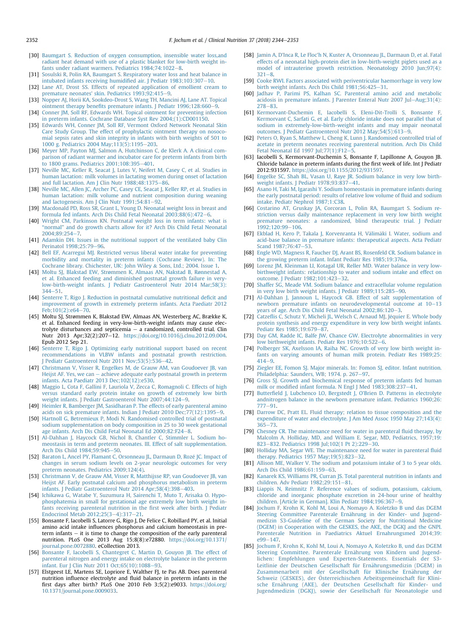- <span id="page-8-0"></span>[30] Baumgart S. Reduction of oxygen consumption, insensible water loss, and [radiant heat demand with use of a plastic blanket for low-birth weight in](http://refhub.elsevier.com/S0261-5614(18)31167-1/sref30)[fants under radiant warmers. Pediatrics 1984;74:1022](http://refhub.elsevier.com/S0261-5614(18)31167-1/sref30)-[8](http://refhub.elsevier.com/S0261-5614(18)31167-1/sref30).
- [31] [Sosulski R, Polin RA, Baumgart S. Respiratory water loss and heat balance in](http://refhub.elsevier.com/S0261-5614(18)31167-1/sref31) [intubated infants receiving humidi](http://refhub.elsevier.com/S0261-5614(18)31167-1/sref31)fied air. J Pediatr  $1983;103;307-10$  $1983;103;307-10$  $1983;103;307-10$ .
- [32] [Lane AT, Drost SS. Effects of repeated application of emollient cream to](http://refhub.elsevier.com/S0261-5614(18)31167-1/sref32) [premature neonates' skin. Pediatrics 1993;92:415](http://refhub.elsevier.com/S0261-5614(18)31167-1/sref32)-[9](http://refhub.elsevier.com/S0261-5614(18)31167-1/sref32).
- [33] [Nopper AJ, Horii KA, Sookdeo-Drost S, Wang TH, Mancini AJ, Lane AT. Topical](http://refhub.elsevier.com/S0261-5614(18)31167-1/sref33) ointment therapy benefits premature infants. J Pediatr  $1996:128:660-9$
- [34] [Conner JM, Soll RF, Edwards WH. Topical ointment for preventing infection](http://refhub.elsevier.com/S0261-5614(18)31167-1/sref34) [in preterm infants. Cochrane Database Syst Rev 2004;\(1\):CD001150.](http://refhub.elsevier.com/S0261-5614(18)31167-1/sref34)
- [35] [Edwards WH, Conner JM, Soll RF, Vermont Oxford Network Neonatal Skin](http://refhub.elsevier.com/S0261-5614(18)31167-1/sref35) [Care Study Group. The effect of prophylactic ointment therapy on nosoco](http://refhub.elsevier.com/S0261-5614(18)31167-1/sref35)[mial sepsis rates and skin integrity in infants with birth weights of 501 to](http://refhub.elsevier.com/S0261-5614(18)31167-1/sref35) 1000 g. Pediatrics 2004 May:  $113(5)$ : 1195-[203.](http://refhub.elsevier.com/S0261-5614(18)31167-1/sref35)
- [36] [Meyer MP, Payton MJ, Salmon A, Hutchinson C, de Klerk A. A clinical com](http://refhub.elsevier.com/S0261-5614(18)31167-1/sref36)[parison of radiant warmer and incubator care for preterm infants from birth](http://refhub.elsevier.com/S0261-5614(18)31167-1/sref36) to 1800 grams. Pediatrics  $2001:108:395-401$  $2001:108:395-401$ .
- [37] [Neville MC, Keller R, Seacat J, Lutes V, Neifert M, Casey C, et al. Studies in](http://refhub.elsevier.com/S0261-5614(18)31167-1/sref37) [human lactation: milk volumes in lactating women during onset of lactation](http://refhub.elsevier.com/S0261-5614(18)31167-1/sref37) and full lactation. Am I Clin Nutr  $1988:48:1375-86$  $1988:48:1375-86$
- [38] [Neville MC, Allen JC, Archer PC, Casey CE, Seacat J, Keller RP, et al. Studies in](http://refhub.elsevier.com/S0261-5614(18)31167-1/sref38) [human lactation: milk volume and nutrient composition during weaning](http://refhub.elsevier.com/S0261-5614(18)31167-1/sref38) and lactogenesis. Am J Clin Nutr  $1991:54:81-92$  $1991:54:81-92$ .
- [39] [Macdonald PD, Ross SR, Grant L, Young D. Neonatal weight loss in breast and](http://refhub.elsevier.com/S0261-5614(18)31167-1/sref39) formula fed infants. Arch Dis Child Fetal Neonatal  $2003:88(6):472-6$  $2003:88(6):472-6$  $2003:88(6):472-6$ .
- [40] [Wright CM, Parkinson KN. Postnatal weight loss in term infants: what is](http://refhub.elsevier.com/S0261-5614(18)31167-1/sref40) "normal" [and do growth charts allow for it? Arch Dis Child Fetal Neonatal](http://refhub.elsevier.com/S0261-5614(18)31167-1/sref40)  $2004.89.254 - 7$  $2004.89.254 - 7$
- [41] [Adamkin DH. Issues in the nutritional support of the ventilated baby Clin](http://refhub.elsevier.com/S0261-5614(18)31167-1/sref41) Perinatol 1998:25:79-[96.](http://refhub.elsevier.com/S0261-5614(18)31167-1/sref41)
- [42] [Bell EF, Acarregui MJ. Restricted versus liberal water intake for preventing](http://refhub.elsevier.com/S0261-5614(18)31167-1/sref42) [morbidity and mortality in preterm infants \(Cochrane Review\). In: The](http://refhub.elsevier.com/S0261-5614(18)31167-1/sref42) [Cochrane library. Chichester, UK: John Wiley](http://refhub.elsevier.com/S0261-5614(18)31167-1/sref42) & [Sons, Ltd.; 2004. Issue 1.](http://refhub.elsevier.com/S0261-5614(18)31167-1/sref42)
- [43] [Moltu SJ, Blakstad EW, Str](http://refhub.elsevier.com/S0261-5614(18)31167-1/sref43)ø[mmen K, Almaas AN, Nakstad B, Rønnestad A,](http://refhub.elsevier.com/S0261-5614(18)31167-1/sref43) [et al. Enhanced feeding and diminished postnatal growth failure in very](http://refhub.elsevier.com/S0261-5614(18)31167-1/sref43)[low-birth-weight infants. J Pediatr Gastroenterol Nutr 2014 Mar;58\(3\):](http://refhub.elsevier.com/S0261-5614(18)31167-1/sref43)  $344 - 51$  $344 - 51$
- [44] [Senterre T, Rigo J. Reduction in postnatal cumulative nutritional de](http://refhub.elsevier.com/S0261-5614(18)31167-1/sref44)ficit and [improvement of growth in extremely preterm infants. Acta Paediatr 2012](http://refhub.elsevier.com/S0261-5614(18)31167-1/sref44) Feb:101(2):e64-[70](http://refhub.elsevier.com/S0261-5614(18)31167-1/sref44).
- [45] Moltu SJ, Strømmen K, Blakstad EW, Almaas AN, Westerberg AC, Brække K, et al. Enhanced feeding in very-low-birth-weight infants may cause electrolyte disturbances and septicemia  $-$  a randomized, controlled trial. Clin Nutr 2013 Apr;32(2):207-12. <https://doi.org/10.1016/j.clnu.2012.09.004>. Epub 2012 Sep 21.
- [46] [Senterre T, Rigo J. Optimizing early nutritional support based on recent](http://refhub.elsevier.com/S0261-5614(18)31167-1/sref46) [recommendations in VLBW infants and postnatal growth restriction.](http://refhub.elsevier.com/S0261-5614(18)31167-1/sref46) Pediatr Gastroenterol Nutr 2011 Nov;53(5):536-[42.](http://refhub.elsevier.com/S0261-5614(18)31167-1/sref46)
- [47] [Christmann V, Visser R, Engelkes M, de Grauw AM, van Goudoever JB, van](http://refhub.elsevier.com/S0261-5614(18)31167-1/sref47) [Heijst AF. Yes, we can](http://refhub.elsevier.com/S0261-5614(18)31167-1/sref47)  $-$  [achieve adequate early postnatal growth in preterm](http://refhub.elsevier.com/S0261-5614(18)31167-1/sref47) [infants. Acta Paediatr 2013 Dec;102\(12\):e530.](http://refhub.elsevier.com/S0261-5614(18)31167-1/sref47)
- [48] [Maggio L, Cota F, Gallini F, Lauriola V, Zecca C, Romagnoli C. Effects of high](http://refhub.elsevier.com/S0261-5614(18)31167-1/sref48) [versus standard early protein intake on growth of extremely low birth](http://refhub.elsevier.com/S0261-5614(18)31167-1/sref48) [weight infants. J Pediatr Gastroenterol Nutr 2007;44:124](http://refhub.elsevier.com/S0261-5614(18)31167-1/sref48)-[9.](http://refhub.elsevier.com/S0261-5614(18)31167-1/sref48)
- [49] [Heimler R, Bamberger JM, Sasidharan P. The effects of early parenteral amino](http://refhub.elsevier.com/S0261-5614(18)31167-1/sref49) acids on sick premature infants. Indian J Pediatr 2010 Dec; 77(12): 13[9](http://refhub.elsevier.com/S0261-5614(18)31167-1/sref49)5-9.
- [50] [Hartnoll G, Betremieux P, Modi N. Randomised controlled trial of postnatal](http://refhub.elsevier.com/S0261-5614(18)31167-1/sref50) [sodium supplementation on body composition in 25 to 30 week gestational](http://refhub.elsevier.com/S0261-5614(18)31167-1/sref50) [age infants. Arch Dis Child Fetal Neonatal Ed 2000;82:F24](http://refhub.elsevier.com/S0261-5614(18)31167-1/sref50)-[8.](http://refhub.elsevier.com/S0261-5614(18)31167-1/sref50)
- [51] [Al-Dahhan J, Haycock GB, Nichol B, Chantler C, Stimmler L. Sodium ho](http://refhub.elsevier.com/S0261-5614(18)31167-1/sref51)[meostasis in term and preterm neonates. III. Effect of salt supplementation.](http://refhub.elsevier.com/S0261-5614(18)31167-1/sref51) Arch Dis Child 1984:59:945-[50.](http://refhub.elsevier.com/S0261-5614(18)31167-1/sref51)
- [52] [Baraton L, Ancel PY, Flamant C, Orsonneau JL, Darmaun D, Roze JC. Impact of](http://refhub.elsevier.com/S0261-5614(18)31167-1/sref52) [changes in serum sodium levels on 2-year neurologic outcomes for very](http://refhub.elsevier.com/S0261-5614(18)31167-1/sref52) [preterm neonates. Pediatrics 2009;124\(4\).](http://refhub.elsevier.com/S0261-5614(18)31167-1/sref52)
- [53] [Christmann V, de Grauw AM, Visser R, Matthijsse RP, van Goudoever JB, van](http://refhub.elsevier.com/S0261-5614(18)31167-1/sref53) [Heijst AF. Early postnatal calcium and phosphorus metabolism in preterm](http://refhub.elsevier.com/S0261-5614(18)31167-1/sref53) infants. J Pediatr Gastroenterol Nutr  $2014$  Apr;  $58(4)$ :  $398-403$ .
- [54] [Ichikawa G, Watabe Y, Suzumura H, Sairenchi T, Muto T, Arisaka O. Hypo](http://refhub.elsevier.com/S0261-5614(18)31167-1/sref54)[phosphatemia in small for gestational age extremely low birth weight in](http://refhub.elsevier.com/S0261-5614(18)31167-1/sref54)[fants receiving parenteral nutrition in the](http://refhub.elsevier.com/S0261-5614(18)31167-1/sref54) first week after birth. J Pediatr [Endocrinol Metab 2012;25\(3](http://refhub.elsevier.com/S0261-5614(18)31167-1/sref54)-[4\):317](http://refhub.elsevier.com/S0261-5614(18)31167-1/sref54)-[21.](http://refhub.elsevier.com/S0261-5614(18)31167-1/sref54)
- [55] Bonsante F, Iacobelli S, Latorre G, Rigo J, De Felice C, Robillard PY, et al. Initial amino acid intake influences phosphorus and calcium homeostasis in preterm infants  $-$  it is time to change the composition of the early parenteral nutrition. PLoS One 2013 Aug 15;8(8):e72880. [https://doi.org/10.1371/](https://doi.org/10.1371/journal.pone.0072880) [journal.pone.0072880](https://doi.org/10.1371/journal.pone.0072880). eCollection 2013.
- [56] [Bonsante F, Iacobelli S, Chantegret C, Martin D, Gouyon JB. The effect of](http://refhub.elsevier.com/S0261-5614(18)31167-1/sref56) [parenteral nitrogen and energy intake on electrolyte balance in the preterm](http://refhub.elsevier.com/S0261-5614(18)31167-1/sref56) [infant. Eur J Clin Nutr 2011 Oct;65\(10\):1088](http://refhub.elsevier.com/S0261-5614(18)31167-1/sref56)-[93](http://refhub.elsevier.com/S0261-5614(18)31167-1/sref56).
- [57] Elstgeest LE, Martens SE, Lopriore E, Walther FJ, te Pas AB. Does parenteral nutrition influence electrolyte and fluid balance in preterm infants in the first days after birth? PLoS One 2010 Feb 3;5(2):e9033. [https://doi.org/](https://doi.org/10.1371/journal.pone.0009033) [10.1371/journal.pone.0009033.](https://doi.org/10.1371/journal.pone.0009033)
- [58] [Jamin A, D'Inca R, Le Floc'h N, Kuster A, Orsonneau JL, Darmaun D, et al. Fatal](http://refhub.elsevier.com/S0261-5614(18)31167-1/sref58) [effects of a neonatal high-protein diet in low-birth-weight piglets used as a](http://refhub.elsevier.com/S0261-5614(18)31167-1/sref58) [model of intrauterine growth restriction. Neonatology 2010 Jun;97\(4\):](http://refhub.elsevier.com/S0261-5614(18)31167-1/sref58)  $321 - 8$  $321 - 8$
- [59] [Cooke RWI. Factors associated with periventricular haemorrhage in very low](http://refhub.elsevier.com/S0261-5614(18)31167-1/sref59) birth weight infants. Arch Dis Child  $1981;56:425-31$ .
- [60] [Jadhav P, Parimi PS, Kalhan SC. Parenteral amino acid and metabolic](http://refhub.elsevier.com/S0261-5614(18)31167-1/sref60) [acidosis in premature infants. J Parenter Enteral Nutr 2007 Jul](http://refhub.elsevier.com/S0261-5614(18)31167-1/sref60)-[Aug;31\(4\):](http://refhub.elsevier.com/S0261-5614(18)31167-1/sref60) [278](http://refhub.elsevier.com/S0261-5614(18)31167-1/sref60)-83
- [61] [Kermorvant-Duchemin E, Iacobelli S, Eleni-Dit-Trolli S, Bonsante F,](http://refhub.elsevier.com/S0261-5614(18)31167-1/sref61) [Kermorvant C, Sarfati G, et al. Early chloride intake does not parallel that of](http://refhub.elsevier.com/S0261-5614(18)31167-1/sref61) [sodium in extremely-low-birth-weight infants and may impair neonatal](http://refhub.elsevier.com/S0261-5614(18)31167-1/sref61) outcomes. J Pediatr Gastroenterol Nutr 2012 May:54(5):613-[9.](http://refhub.elsevier.com/S0261-5614(18)31167-1/sref61)
- [62] [Peters O, Ryan S, Matthew L, Cheng K, Lunn J. Randomised controlled trial of](http://refhub.elsevier.com/S0261-5614(18)31167-1/sref62) [acetate in preterm neonates receiving parenteral nutrition. Arch Dis Child](http://refhub.elsevier.com/S0261-5614(18)31167-1/sref62) Fetal Neonatal Ed 1997 Jul:  $77(1)$ :  $F12-5$  $F12-5$ .
- [63] Iacobelli S, Kermorvant-Duchemin S, Bonsante F, Lapillonne A, Gouyon JB. Chloride balance in preterm infants during the first week of life. Int J Pediatr
- 2012:931597. <https://doi.org/10.1155/2012/931597>. [64] [Engelke SC, Shah BL, Vasan U, Raye JR. Sodium balance in very low birth](http://refhub.elsevier.com/S0261-5614(18)31167-1/sref64)weight infants. J Pediatr  $1978:93:837-41$ .
- [65] [Asano H, Taki M, Igarashi Y. Sodium homeostasis in premature infants during](http://refhub.elsevier.com/S0261-5614(18)31167-1/sref65) [the early postnatal period: results of relative low volume of](http://refhub.elsevier.com/S0261-5614(18)31167-1/sref65) fluid and sodium [intake. Pediatr Nephrol 1987;1:C38.](http://refhub.elsevier.com/S0261-5614(18)31167-1/sref65)
- [66] [Costarino AT, Gruskay JA, Corcoran L, Polin RA, Baumgart S. Sodium re](http://refhub.elsevier.com/S0261-5614(18)31167-1/sref66)[striction versus daily maintenance replacement in very low birth weight](http://refhub.elsevier.com/S0261-5614(18)31167-1/sref66) [premature neonates: a randomized, blind therapeutic trial. J Pediatr](http://refhub.elsevier.com/S0261-5614(18)31167-1/sref66)  $1992:120:99-106.$  $1992:120:99-106.$
- [67] [Ekblad H, Kero P, Takala J, Korvenranta H, V](http://refhub.elsevier.com/S0261-5614(18)31167-1/sref67)älimäki I. Water, sodium and [acid-base balance in premature infants: therapeutical aspects. Acta Pediatr](http://refhub.elsevier.com/S0261-5614(18)31167-1/sref67) Scand 1987:76:47-[53](http://refhub.elsevier.com/S0261-5614(18)31167-1/sref67).
- [68] [Engle WD, Magness R, Faucher DJ, Arant BS, Rosenfeld CR. Sodium balance in](http://refhub.elsevier.com/S0261-5614(18)31167-1/sref68) [the growing preterm infant. Infant Pediatr Res 1985;19:376a](http://refhub.elsevier.com/S0261-5614(18)31167-1/sref68).
- [69] [Lorenz JM, Kleinman LI, Kotagal UR, Reller MD. Water balance in very low](http://refhub.elsevier.com/S0261-5614(18)31167-1/sref69)[birthweight infants: relationship to water and sodium intake and effect on](http://refhub.elsevier.com/S0261-5614(18)31167-1/sref69) [outcome. J Pediatr 1982;101:423](http://refhub.elsevier.com/S0261-5614(18)31167-1/sref69)-[32.](http://refhub.elsevier.com/S0261-5614(18)31167-1/sref69)
- [70] [Shaffer SG, Meade VM. Sodium balance and extracellular volume regulation](http://refhub.elsevier.com/S0261-5614(18)31167-1/sref70) [in very low birth weight infants. J Pediatr 1989;115:285](http://refhub.elsevier.com/S0261-5614(18)31167-1/sref70)-[90.](http://refhub.elsevier.com/S0261-5614(18)31167-1/sref70)
- [71] [Al-Dahhan J, Jannoun L, Haycock GB. Effect of salt supplementation of](http://refhub.elsevier.com/S0261-5614(18)31167-1/sref71) [newborn premature infants on neurodevelopmental outcome at 10](http://refhub.elsevier.com/S0261-5614(18)31167-1/sref71)-[13](http://refhub.elsevier.com/S0261-5614(18)31167-1/sref71) [years of age. Arch Dis Child Fetal Neonatal 2002;86:120](http://refhub.elsevier.com/S0261-5614(18)31167-1/sref71)-[3.](http://refhub.elsevier.com/S0261-5614(18)31167-1/sref71)
- [72] Catzeflis C, Schutz Y, Micheli JL, Welsch C, Arnaud MJ, Jéquier E. Whole body [protein synthesis and energy expenditure in very low birth weight infants.](http://refhub.elsevier.com/S0261-5614(18)31167-1/sref72) [Pediatr Res 1985;19:679](http://refhub.elsevier.com/S0261-5614(18)31167-1/sref72)-[87](http://refhub.elsevier.com/S0261-5614(18)31167-1/sref72).
- [73] [Day GM, Radde IC, Balfe JW, Chance GW. Electrolyte abnormalities in very](http://refhub.elsevier.com/S0261-5614(18)31167-1/sref73) [low birthweight infants. Pediatr Res 1976;10:522](http://refhub.elsevier.com/S0261-5614(18)31167-1/sref73)-[6.](http://refhub.elsevier.com/S0261-5614(18)31167-1/sref73)
- [74] [Polberger SK, Axelsson IA, Raiha NC. Growth of very low birth weight in](http://refhub.elsevier.com/S0261-5614(18)31167-1/sref74)[fants on varying amounts of human milk protein. Pediatr Res 1989;25:](http://refhub.elsevier.com/S0261-5614(18)31167-1/sref74)  $414 - 9.$  $414 - 9.$  $414 - 9.$
- [75] [Ziegler EE, Fomon SJ. Major minerals. In: Fomon SJ, editor. Infant nutrition.](http://refhub.elsevier.com/S0261-5614(18)31167-1/sref75) [Philadelphia: Saunders, WB; 1974. p. 267](http://refhub.elsevier.com/S0261-5614(18)31167-1/sref75)-[97.](http://refhub.elsevier.com/S0261-5614(18)31167-1/sref75)
- [76] [Gross SJ. Growth and biochemical response of preterm infants fed human](http://refhub.elsevier.com/S0261-5614(18)31167-1/sref76) milk or modifi[ed infant formula. N Engl J Med 1983;308:237](http://refhub.elsevier.com/S0261-5614(18)31167-1/sref76)-[41.](http://refhub.elsevier.com/S0261-5614(18)31167-1/sref76)
- [77] Butterfi[eld J, Lubchenco LO, Bergstedt J, O](http://refhub.elsevier.com/S0261-5614(18)31167-1/sref77)'Brien D. Patterns in electrolyte [andnitrogen balance in the newborn premature infant. Pediatrics 1960;26:](http://refhub.elsevier.com/S0261-5614(18)31167-1/sref77) [777](http://refhub.elsevier.com/S0261-5614(18)31167-1/sref77)-[91.](http://refhub.elsevier.com/S0261-5614(18)31167-1/sref77)
- [78] [Darrow DC, Pratt EL. Fluid therapy; relation to tissue composition and the](http://refhub.elsevier.com/S0261-5614(18)31167-1/sref78) [expenditure of water and electrolyte. J Am Med Assoc 1950 May 27;143\(4\):](http://refhub.elsevier.com/S0261-5614(18)31167-1/sref78)  $365 - 73.$  $365 - 73.$  $365 - 73.$
- [79] [Chesney CR. The maintenance need for water in parenteral](http://refhub.elsevier.com/S0261-5614(18)31167-1/sref79) fluid therapy, by [Malcolm A. Holliday, MD, and William E. Segar, MD, Pediatrics, 1957;19:](http://refhub.elsevier.com/S0261-5614(18)31167-1/sref79) [823](http://refhub.elsevier.com/S0261-5614(18)31167-1/sref79)-[832. Pediatrics 1998 Jul;102\(1 Pt 2\):229](http://refhub.elsevier.com/S0261-5614(18)31167-1/sref79)-[30.](http://refhub.elsevier.com/S0261-5614(18)31167-1/sref79)
- [80] [Holliday MA, Segar WE. The maintenance need for water in parenteral](http://refhub.elsevier.com/S0261-5614(18)31167-1/sref80) fluid therapy. Pediatrics 1957 May;  $19(5)$ :  $823-32$ .
- [81] [Allison ME, Walker V. The sodium and potassium intake of 3 to 5 year olds.](http://refhub.elsevier.com/S0261-5614(18)31167-1/sref81) [Arch Dis Child 1986;61:159](http://refhub.elsevier.com/S0261-5614(18)31167-1/sref81)-[63.](http://refhub.elsevier.com/S0261-5614(18)31167-1/sref81)
- [82] [Kanarek KS, Williams PR, Curran JS. Total parenteral nutrition in infants and](http://refhub.elsevier.com/S0261-5614(18)31167-1/sref82) [children. Adv Pediatr 1982;29:151](http://refhub.elsevier.com/S0261-5614(18)31167-1/sref82)-[81.](http://refhub.elsevier.com/S0261-5614(18)31167-1/sref82)
- [83] [Liappis N, Reimnitz P. Reference values of sodium, potassium, calcium,](http://refhub.elsevier.com/S0261-5614(18)31167-1/sref83) [chloride and inorganic phosphate excretion in 24-hour urine of healthy](http://refhub.elsevier.com/S0261-5614(18)31167-1/sref83) [children. \[Article in German\]. Klin Pediatr 1984;196:367](http://refhub.elsevier.com/S0261-5614(18)31167-1/sref83)-[9.](http://refhub.elsevier.com/S0261-5614(18)31167-1/sref83)
- [84] [Jochum F, Krohn K, Kohl M, Loui A, Nomayo A. Koletzko B und das DGEM](http://refhub.elsevier.com/S0261-5614(18)31167-1/sref84) [Steering Committee Parenterale Ern](http://refhub.elsevier.com/S0261-5614(18)31167-1/sref84)ährung in der Kinder- und Jugend[medizin S3-Guideline of the German Society for Nutritional Medicine](http://refhub.elsevier.com/S0261-5614(18)31167-1/sref84) [\(DGEM\) in Cooperation with the GESKES, the AKE, the DGKJ and the GNPI.](http://refhub.elsevier.com/S0261-5614(18)31167-1/sref84) [Parenterale Nutrition in Paediatrics Aktuel Ernahrungsmed 2014;39:](http://refhub.elsevier.com/S0261-5614(18)31167-1/sref84)  $e99 - 147$  $e99 - 147$  $e99 - 147$ .
- [85] [Jochum F, Krohn K, Kohl M, Loui A, Nomayo A, Koletzko B, und das DGEM](http://refhub.elsevier.com/S0261-5614(18)31167-1/sref85) [Steering Committee. Parenterale Ern](http://refhub.elsevier.com/S0261-5614(18)31167-1/sref85)ährung von Kindern und Jugend[lichen: Empfehlungen und Experten-Statements. Essentials der S3-](http://refhub.elsevier.com/S0261-5614(18)31167-1/sref85) Leitlinie der Deutschen Gesellschaft für Ernährungsmedizin (DGEM) in [Zusammenarbeit mit der Gesellschaft für Klinische Ern](http://refhub.elsevier.com/S0261-5614(18)31167-1/sref85)ährung der [Schweiz \(GESKES\), der](http://refhub.elsevier.com/S0261-5614(18)31167-1/sref85) Ö[sterreichischen Arbeitsgemeinschaft für Klini](http://refhub.elsevier.com/S0261-5614(18)31167-1/sref85) [sche Ern](http://refhub.elsevier.com/S0261-5614(18)31167-1/sref85)ä[hrung \(AKE\), der Deutschen Gesellschaft für Kinder- und](http://refhub.elsevier.com/S0261-5614(18)31167-1/sref85) [Jugendmedizin \(DGKJ\), sowie der Gesellschaft für Neonatologie und](http://refhub.elsevier.com/S0261-5614(18)31167-1/sref85)